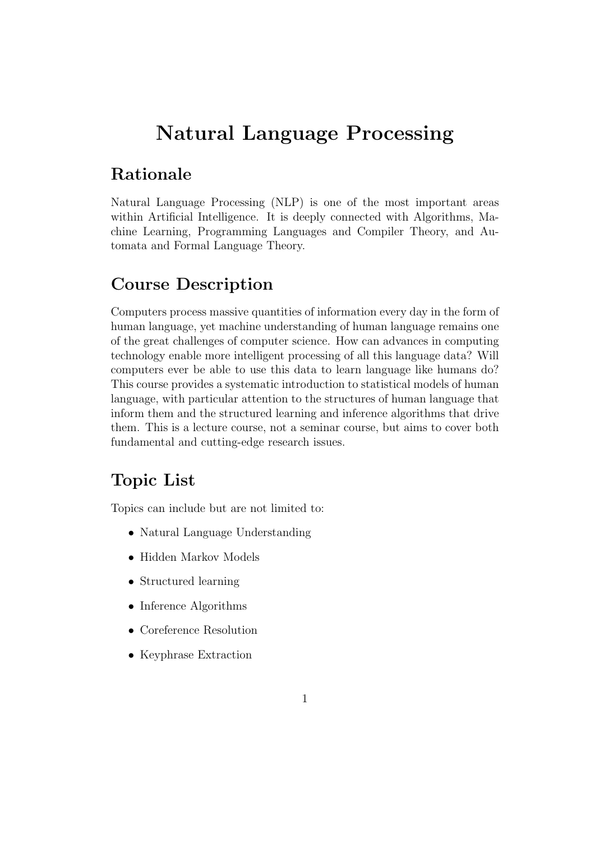# Natural Language Processing

### Rationale

Natural Language Processing (NLP) is one of the most important areas within Artificial Intelligence. It is deeply connected with Algorithms, Machine Learning, Programming Languages and Compiler Theory, and Automata and Formal Language Theory.

#### Course Description

Computers process massive quantities of information every day in the form of human language, yet machine understanding of human language remains one of the great challenges of computer science. How can advances in computing technology enable more intelligent processing of all this language data? Will computers ever be able to use this data to learn language like humans do? This course provides a systematic introduction to statistical models of human language, with particular attention to the structures of human language that inform them and the structured learning and inference algorithms that drive them. This is a lecture course, not a seminar course, but aims to cover both fundamental and cutting-edge research issues.

#### Topic List

Topics can include but are not limited to:

- Natural Language Understanding
- Hidden Markov Models
- Structured learning
- Inference Algorithms
- Coreference Resolution
- Keyphrase Extraction